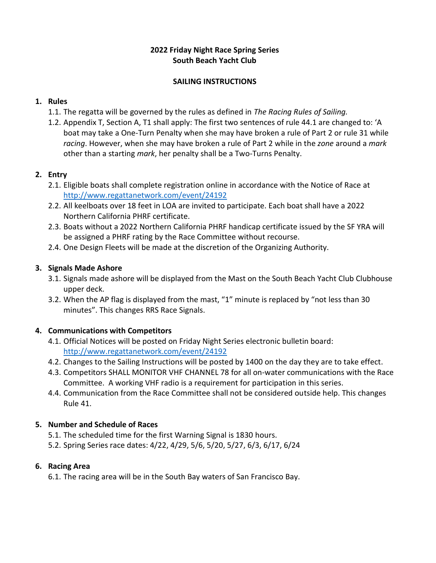### **2022 Friday Night Race Spring Series South Beach Yacht Club**

#### **SAILING INSTRUCTIONS**

### **1. Rules**

- 1.1. The regatta will be governed by the rules as defined in *The Racing Rules of Sailing.*
- 1.2. Appendix T, Section A, T1 shall apply: The first two sentences of rule 44.1 are changed to: 'A boat may take a One-Turn Penalty when she may have broken a rule of Part 2 or rule 31 while *racing*. However, when she may have broken a rule of Part 2 while in the *zone* around a *mark*  other than a starting *mark*, her penalty shall be a Two-Turns Penalty.

# **2. Entry**

- 2.1. Eligible boats shall complete registration online in accordance with the Notice of Race at <http://www.regattanetwork.com/event/24192>
- 2.2. All keelboats over 18 feet in LOA are invited to participate. Each boat shall have a 2022 Northern California PHRF certificate.
- 2.3. Boats without a 2022 Northern California PHRF handicap certificate issued by the SF YRA will be assigned a PHRF rating by the Race Committee without recourse.
- 2.4. One Design Fleets will be made at the discretion of the Organizing Authority.

# **3. Signals Made Ashore**

- 3.1. Signals made ashore will be displayed from the Mast on the South Beach Yacht Club Clubhouse upper deck.
- 3.2. When the AP flag is displayed from the mast, "1" minute is replaced by "not less than 30 minutes". This changes RRS Race Signals.

# **4. Communications with Competitors**

- 4.1. Official Notices will be posted on Friday Night Series electronic bulletin board: <http://www.regattanetwork.com/event/24192>
- 4.2. Changes to the Sailing Instructions will be posted by 1400 on the day they are to take effect.
- 4.3. Competitors SHALL MONITOR VHF CHANNEL 78 for all on-water communications with the Race Committee. A working VHF radio is a requirement for participation in this series.
- 4.4. Communication from the Race Committee shall not be considered outside help. This changes Rule 41.

# **5. Number and Schedule of Races**

- 5.1. The scheduled time for the first Warning Signal is 1830 hours.
- 5.2. Spring Series race dates: 4/22, 4/29, 5/6, 5/20, 5/27, 6/3, 6/17, 6/24

# **6. Racing Area**

6.1. The racing area will be in the South Bay waters of San Francisco Bay.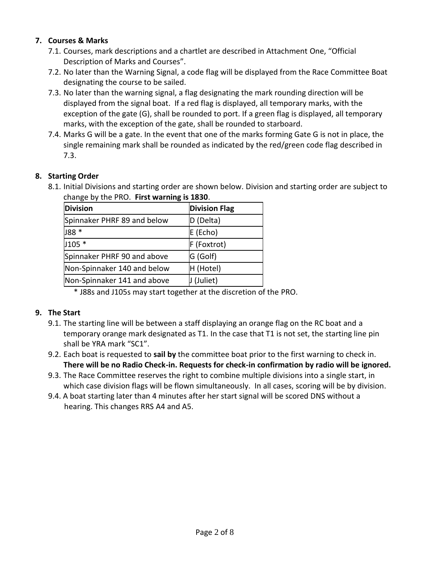### **7. Courses & Marks**

- 7.1. Courses, mark descriptions and a chartlet are described in Attachment One, "Official Description of Marks and Courses".
- 7.2. No later than the Warning Signal, a code flag will be displayed from the Race Committee Boat designating the course to be sailed.
- 7.3. No later than the warning signal, a flag designating the mark rounding direction will be displayed from the signal boat. If a red flag is displayed, all temporary marks, with the exception of the gate (G), shall be rounded to port. If a green flag is displayed, all temporary marks, with the exception of the gate, shall be rounded to starboard.
- 7.4. Marks G will be a gate. In the event that one of the marks forming Gate G is not in place, the single remaining mark shall be rounded as indicated by the red/green code flag described in 7.3.

### **8. Starting Order**

8.1. Initial Divisions and starting order are shown below. Division and starting order are subject to change by the PRO. **First warning is 1830**.

| <b>Division</b>             | <b>Division Flag</b> |
|-----------------------------|----------------------|
| Spinnaker PHRF 89 and below | D (Delta)            |
| J88 *                       | E (Echo)             |
| $J105*$                     | F (Foxtrot)          |
| Spinnaker PHRF 90 and above | G (Golf)             |
| Non-Spinnaker 140 and below | H (Hotel)            |
| Non-Spinnaker 141 and above | J (Juliet)           |

\* J88s and J105s may start together at the discretion of the PRO.

#### **9. The Start**

- 9.1. The starting line will be between a staff displaying an orange flag on the RC boat and a temporary orange mark designated as T1. In the case that T1 is not set, the starting line pin shall be YRA mark "SC1".
- 9.2. Each boat is requested to **sail by** the committee boat prior to the first warning to check in. **There will be no Radio Check-in. Requests for check-in confirmation by radio will be ignored.**
- 9.3. The Race Committee reserves the right to combine multiple divisions into a single start, in which case division flags will be flown simultaneously. In all cases, scoring will be by division.
- 9.4. A boat starting later than 4 minutes after her start signal will be scored DNS without a hearing. This changes RRS A4 and A5.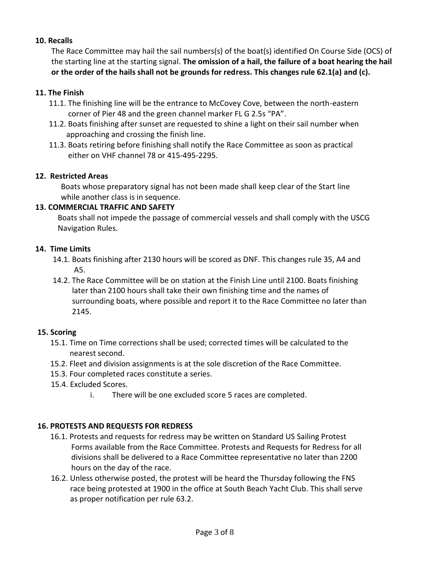#### **10. Recalls**

The Race Committee may hail the sail numbers(s) of the boat(s) identified On Course Side (OCS) of the starting line at the starting signal. **The omission of a hail, the failure of a boat hearing the hail or the order of the hails shall not be grounds for redress. This changes rule 62.1(a) and (c).**

#### **11. The Finish**

- 11.1. The finishing line will be the entrance to McCovey Cove, between the north-eastern corner of Pier 48 and the green channel marker FL G 2.5s "PA".
- 11.2. Boats finishing after sunset are requested to shine a light on their sail number when approaching and crossing the finish line.
- 11.3. Boats retiring before finishing shall notify the Race Committee as soon as practical either on VHF channel 78 or 415-495-2295.

#### **12. Restricted Areas**

Boats whose preparatory signal has not been made shall keep clear of the Start line while another class is in sequence.

#### **13. COMMERCIAL TRAFFIC AND SAFETY**

Boats shall not impede the passage of commercial vessels and shall comply with the USCG Navigation Rules.

#### **14. Time Limits**

- 14.1. Boats finishing after 2130 hours will be scored as DNF. This changes rule 35, A4 and A5.
- 14.2. The Race Committee will be on station at the Finish Line until 2100. Boats finishing later than 2100 hours shall take their own finishing time and the names of surrounding boats, where possible and report it to the Race Committee no later than 2145.

#### **15. Scoring**

- 15.1. Time on Time corrections shall be used; corrected times will be calculated to the nearest second.
- 15.2. Fleet and division assignments is at the sole discretion of the Race Committee.
- 15.3. Four completed races constitute a series.
- 15.4. Excluded Scores.
	- i. There will be one excluded score 5 races are completed.

#### **16. PROTESTS AND REQUESTS FOR REDRESS**

- 16.1. Protests and requests for redress may be written on Standard US Sailing Protest Forms available from the Race Committee. Protests and Requests for Redress for all divisions shall be delivered to a Race Committee representative no later than 2200 hours on the day of the race.
- 16.2. Unless otherwise posted, the protest will be heard the Thursday following the FNS race being protested at 1900 in the office at South Beach Yacht Club. This shall serve as proper notification per rule 63.2.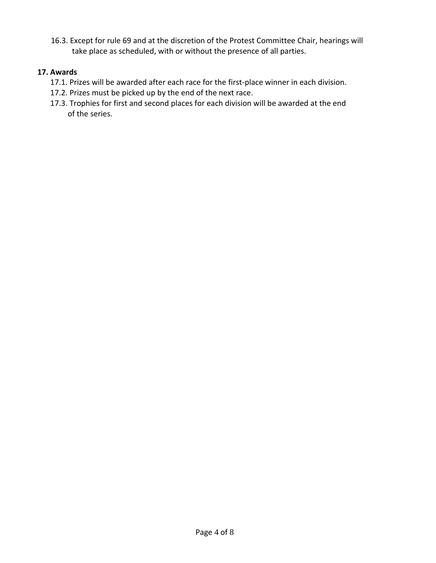16.3. Except for rule 69 and at the discretion of the Protest Committee Chair, hearings will take place as scheduled, with or without the presence of all parties.

### **17. Awards**

- 17.1. Prizes will be awarded after each race for the first-place winner in each division.
- 17.2. Prizes must be picked up by the end of the next race.
- 17.3. Trophies for first and second places for each division will be awarded at the end of the series.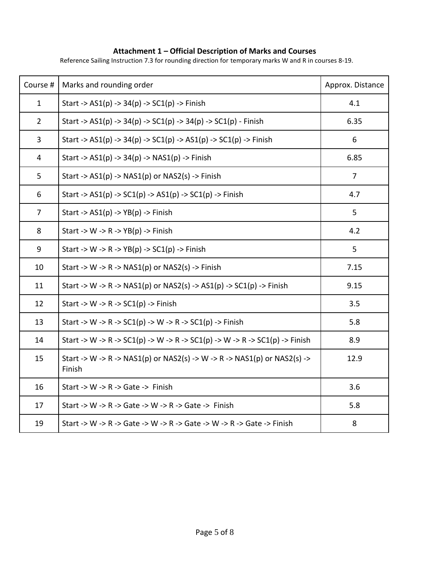#### **Attachment 1 – Official Description of Marks and Courses**

Reference Sailing Instruction 7.3 for rounding direction for temporary marks W and R in courses 8-19.

| Course #       | Marks and rounding order                                                           | Approx. Distance |
|----------------|------------------------------------------------------------------------------------|------------------|
| $\mathbf{1}$   | Start -> $AS1(p)$ -> $34(p)$ -> $SC1(p)$ -> Finish                                 | 4.1              |
| $\overline{2}$ | Start -> $AS1(p)$ -> $34(p)$ -> $SC1(p)$ -> $34(p)$ -> $SC1(p)$ - Finish           | 6.35             |
| 3              | Start -> $AS1(p)$ -> $34(p)$ -> $SC1(p)$ -> $AS1(p)$ -> $SC1(p)$ -> Finish         | 6                |
| 4              | Start -> $AS1(p)$ -> $34(p)$ -> $NAS1(p)$ -> Finish                                | 6.85             |
| 5              | Start -> $AS1(p)$ -> $NAS1(p)$ or $NAS2(s)$ -> Finish                              | 7                |
| 6              | Start -> $AS1(p)$ -> $SC1(p)$ -> $AS1(p)$ -> $SC1(p)$ -> Finish                    | 4.7              |
| $\overline{7}$ | Start -> $AS1(p)$ -> $YB(p)$ -> Finish                                             | 5                |
| 8              | Start -> W -> R -> $YB(p)$ -> Finish                                               | 4.2              |
| 9              | Start -> W -> R -> YB(p) -> SC1(p) -> Finish                                       | 5                |
| 10             | Start -> W -> R -> NAS1(p) or NAS2(s) -> Finish                                    | 7.15             |
| 11             | Start -> W -> R -> NAS1(p) or NAS2(s) -> AS1(p) -> SC1(p) -> Finish                | 9.15             |
| 12             | Start -> W -> R -> $SC1(p)$ -> Finish                                              | 3.5              |
| 13             | Start -> W -> R -> SC1(p) -> W -> R -> SC1(p) -> Finish                            | 5.8              |
| 14             | Start -> W -> R -> SC1(p) -> W -> R -> SC1(p) -> W -> R -> SC1(p) -> Finish        | 8.9              |
| 15             | Start -> W -> R -> NAS1(p) or NAS2(s) -> W -> R -> NAS1(p) or NAS2(s) -><br>Finish | 12.9             |
| 16             | Start -> W -> R -> Gate -> Finish                                                  | 3.6              |
| 17             | Start -> W -> R -> Gate -> W -> R -> Gate -> Finish                                | 5.8              |
| 19             | Start -> W -> R -> Gate -> W -> R -> Gate -> W -> R -> Gate -> Finish              | 8                |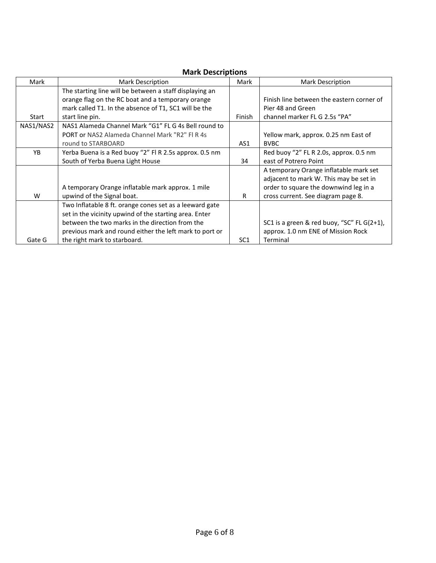# **Mark Descriptions**

| Mark      | Mark Description                                        | Mark            | <b>Mark Description</b>                    |
|-----------|---------------------------------------------------------|-----------------|--------------------------------------------|
|           | The starting line will be between a staff displaying an |                 |                                            |
|           | orange flag on the RC boat and a temporary orange       |                 | Finish line between the eastern corner of  |
|           | mark called T1. In the absence of T1, SC1 will be the   |                 | Pier 48 and Green                          |
| Start     | start line pin.                                         | Finish          | channel marker FL G 2.5s "PA"              |
| NAS1/NAS2 | NAS1 Alameda Channel Mark "G1" FL G 4s Bell round to    |                 |                                            |
|           | PORT or NAS2 Alameda Channel Mark "R2" FLR 4s           |                 | Yellow mark, approx. 0.25 nm East of       |
|           | round to STARBOARD                                      | AS1             | <b>BVBC</b>                                |
| <b>YB</b> | Yerba Buena is a Red buoy "2" Fl R 2.5s approx. 0.5 nm  |                 | Red buoy "2" FL R 2.0s, approx. 0.5 nm     |
|           | South of Yerba Buena Light House                        | 34              | east of Potrero Point                      |
|           |                                                         |                 | A temporary Orange inflatable mark set     |
|           |                                                         |                 | adjacent to mark W. This may be set in     |
|           | A temporary Orange inflatable mark approx. 1 mile       |                 | order to square the downwind leg in a      |
| W         | upwind of the Signal boat.                              | R               | cross current. See diagram page 8.         |
|           | Two Inflatable 8 ft. orange cones set as a leeward gate |                 |                                            |
|           | set in the vicinity upwind of the starting area. Enter  |                 |                                            |
|           | between the two marks in the direction from the         |                 | SC1 is a green & red buoy, "SC" FL G(2+1), |
|           | previous mark and round either the left mark to port or |                 | approx. 1.0 nm ENE of Mission Rock         |
| Gate G    | the right mark to starboard.                            | SC <sub>1</sub> | Terminal                                   |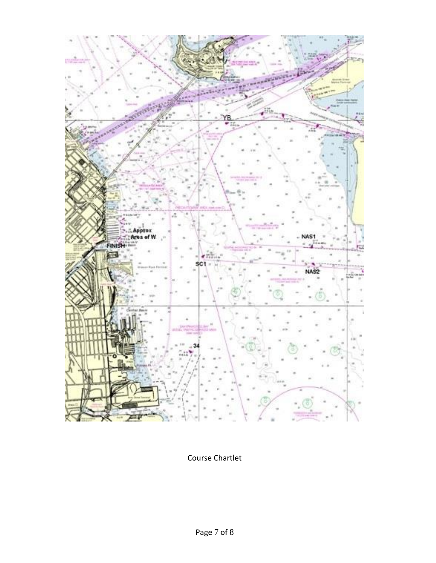

Course Chartlet